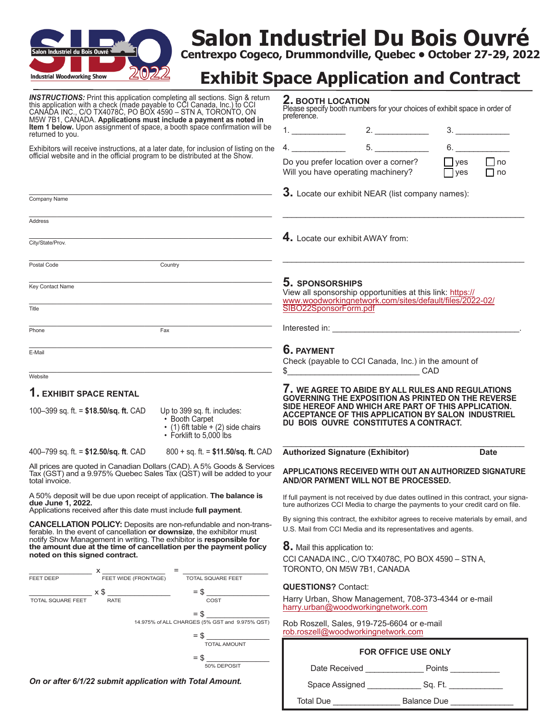

# **Salon Industriel Du Bois Ouvré**

**Centrexpo Cogeco, Drummondville, Quebec • October 27-29, 2022**

## **Exhibit Space Application and Contract**

| <b>INSTRUCTIONS:</b> Print this application completing all sections. Sign & return<br>this application with a check (made payable to CCI Canada, Inc.) to CCI<br>CANADA INC., C/O TX4078C, PO BOX 4590 - STN A, TORONTO, ON<br>M5W 7B1, CANADA. Applications must include a payment as noted in | 2. BOOTH LOCATION<br>Please specify booth numbers for your choices of exhibit space in order of<br>preference.                                                       |
|-------------------------------------------------------------------------------------------------------------------------------------------------------------------------------------------------------------------------------------------------------------------------------------------------|----------------------------------------------------------------------------------------------------------------------------------------------------------------------|
| <b>Item 1 below.</b> Upon assignment of space, a booth space confirmation will be<br>returned to you.                                                                                                                                                                                           | 3.                                                                                                                                                                   |
| Exhibitors will receive instructions, at a later date, for inclusion of listing on the                                                                                                                                                                                                          | 6.<br>$4.$ $5.$                                                                                                                                                      |
| official website and in the official program to be distributed at the Show.                                                                                                                                                                                                                     | $\Box$ no<br>$\Box$ yes<br>Do you prefer location over a corner?<br>$\Box$ yes<br>$\Box$ no<br>Will you have operating machinery?                                    |
| Company Name                                                                                                                                                                                                                                                                                    | 3. Locate our exhibit NEAR (list company names):                                                                                                                     |
| <b>Address</b>                                                                                                                                                                                                                                                                                  |                                                                                                                                                                      |
|                                                                                                                                                                                                                                                                                                 | 4. Locate our exhibit AWAY from:                                                                                                                                     |
| City/State/Prov.                                                                                                                                                                                                                                                                                |                                                                                                                                                                      |
| Country<br>Postal Code                                                                                                                                                                                                                                                                          |                                                                                                                                                                      |
| Key Contact Name                                                                                                                                                                                                                                                                                | 5. SPONSORSHIPS<br>View all sponsorship opportunities at this link: https://<br>www.woodworkingnetwork.com/sites/default/files/2022-02/                              |
| Title                                                                                                                                                                                                                                                                                           | SIBO22SponsorForm.pdf                                                                                                                                                |
| Fax<br>Phone                                                                                                                                                                                                                                                                                    |                                                                                                                                                                      |
| E-Mail                                                                                                                                                                                                                                                                                          | <b>6. PAYMENT</b>                                                                                                                                                    |
|                                                                                                                                                                                                                                                                                                 | Check (payable to CCI Canada, Inc.) in the amount of                                                                                                                 |
| Website                                                                                                                                                                                                                                                                                         | $\frac{1}{2}$ CAD                                                                                                                                                    |
| 1. EXHIBIT SPACE RENTAL                                                                                                                                                                                                                                                                         | I. WE AGREE TO ABIDE BY ALL RULES AND REGULATIONS<br><b>GOVERNING THE EXPOSITION AS PRINTED ON THE REVERSE</b>                                                       |
| 100-399 sq. ft. = $$18.50/sq$ . ft. CAD<br>Up to 399 sq. ft. includes:<br>• Booth Carpet<br>$\cdot$ (1) 6ft table + (2) side chairs<br>• Forklift to 5,000 lbs                                                                                                                                  | SIDE HEREOF AND WHICH ARE PART OF THIS APPLICATION.<br>ACCEPTANCE OF THIS APPLICATION BY SALON INDUSTRIEL<br>DU BOIS OUVRE CONSTITUTES A CONTRACT.                   |
| 400–799 sq. ft. = $$12.50/sq$ . ft. CAD<br>$800 + sq.$ ft. = \$11.50/sq. ft. CAD                                                                                                                                                                                                                | <b>Authorized Signature (Exhibitor)</b><br><b>Date</b>                                                                                                               |
| All prices are quoted in Canadian Dollars (CAD). A 5% Goods & Services<br>Tax (GST) and a 9.975% Quebec Sales Tax (QST) will be added to your<br>total invoice.                                                                                                                                 | APPLICATIONS RECEIVED WITH OUT AN AUTHORIZED SIGNATURE<br>AND/OR PAYMENT WILL NOT BE PROCESSED.                                                                      |
| A 50% deposit will be due upon receipt of application. The balance is<br>due June 1, 2022.<br>Applications received after this date must include full payment.                                                                                                                                  | If full payment is not received by due dates outlined in this contract, your signa-<br>ture authorizes CCI Media to charge the payments to your credit card on file. |
| <b>CANCELLATION POLICY:</b> Deposits are non-refundable and non-trans-<br>ferable. In the event of cancellation or downsize, the exhibitor must                                                                                                                                                 | By signing this contract, the exhibitor agrees to receive materials by email, and<br>U.S. Mail from CCI Media and its representatives and agents.                    |
| notify Show Management in writing. The exhibitor is responsible for<br>the amount due at the time of cancellation per the payment policy<br>noted on this signed contract.<br>$\frac{X}{Y}$ $\frac{Y}{Y}$ FEET WIDE (FRONTAGE) $\frac{Y}{Y}$ $\frac{Y}{Y}$ TOTAL SQUARE FEET                    | <b>8.</b> Mail this application to:<br>CCI CANADA INC., C/O TX4078C, PO BOX 4590 - STN A,<br>TORONTO, ON M5W 7B1, CANADA                                             |
| FEET DEEP                                                                                                                                                                                                                                                                                       | <b>QUESTIONS?</b> Contact:                                                                                                                                           |
| $=$ \$<br>$\frac{1}{\text{total square}} \times \$ \frac{1}{\text{rate}}$<br>COST                                                                                                                                                                                                               | Harry Urban, Show Management, 708-373-4344 or e-mail                                                                                                                 |
| $=$ \$                                                                                                                                                                                                                                                                                          | harry.urban@woodworkingnetwork.com                                                                                                                                   |
| 14.975% of ALL CHARGES (5% GST and 9.975% QST)                                                                                                                                                                                                                                                  | Rob Roszell, Sales, 919-725-6604 or e-mail<br>rob.roszell@woodworkingnetwork.com                                                                                     |
| <b>TOTAL AMOUNT</b>                                                                                                                                                                                                                                                                             | FOR OFFICE USE ONLY                                                                                                                                                  |
| 50% DEPOSIT                                                                                                                                                                                                                                                                                     |                                                                                                                                                                      |
| On or after 6/1/22 submit application with Total Amount.                                                                                                                                                                                                                                        | Date Received ___________________ Points _____________                                                                                                               |
|                                                                                                                                                                                                                                                                                                 |                                                                                                                                                                      |
|                                                                                                                                                                                                                                                                                                 | Total Due _________________________ Balance Due _______________                                                                                                      |